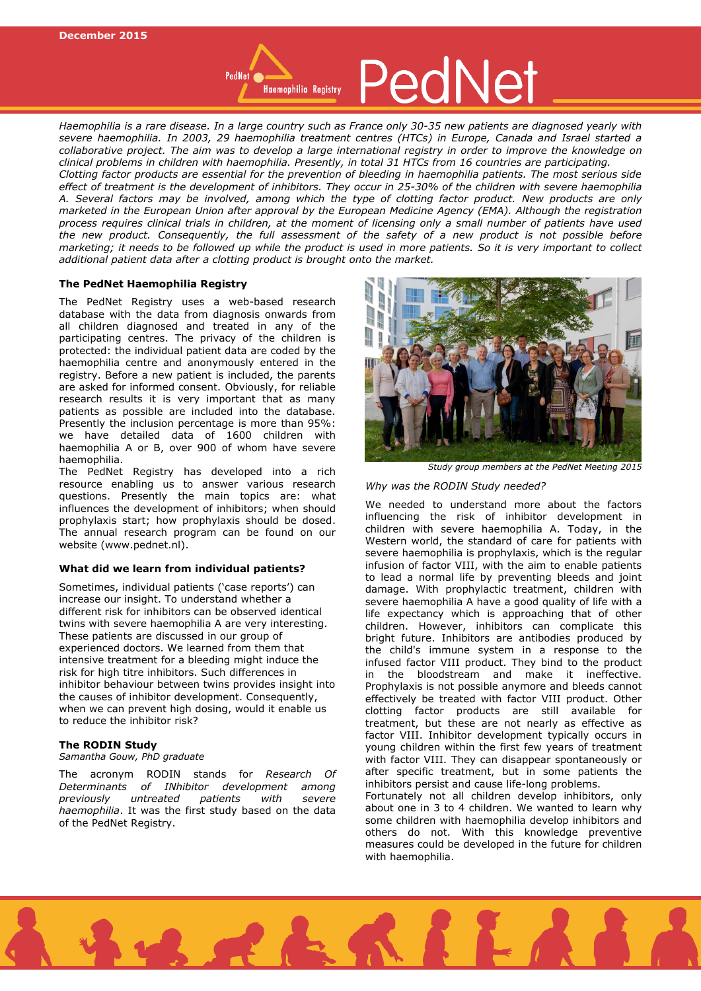*Haemophilia is a rare disease. In a large country such as France only 30-35 new patients are diagnosed yearly with severe haemophilia. In 2003, 29 haemophilia treatment centres (HTCs) in Europe, Canada and Israel started a collaborative project. The aim was to develop a large international registry in order to improve the knowledge on clinical problems in children with haemophilia. Presently, in total 31 HTCs from 16 countries are participating. Clotting factor products are essential for the prevention of bleeding in haemophilia patients. The most serious side effect of treatment is the development of inhibitors. They occur in 25-30% of the children with severe haemophilia A. Several factors may be involved, among which the type of clotting factor product. New products are only marketed in the European Union after approval by the European Medicine Agency (EMA). Although the registration process requires clinical trials in children, at the moment of licensing only a small number of patients have used the new product. Consequently, the full assessment of the safety of a new product is not possible before marketing; it needs to be followed up while the product is used in more patients. So it is very important to collect additional patient data after a clotting product is brought onto the market.* 

## **The PedNet Haemophilia Registry**

The PedNet Registry uses a web-based research database with the data from diagnosis onwards from all children diagnosed and treated in any of the participating centres. The privacy of the children is protected: the individual patient data are coded by the haemophilia centre and anonymously entered in the registry. Before a new patient is included, the parents are asked for informed consent. Obviously, for reliable research results it is very important that as many patients as possible are included into the database. Presently the inclusion percentage is more than 95%: we have detailed data of 1600 children with haemophilia A or B, over 900 of whom have severe haemophilia.

The PedNet Registry has developed into a rich resource enabling us to answer various research questions. Presently the main topics are: what influences the development of inhibitors; when should prophylaxis start; how prophylaxis should be dosed. The annual research program can be found on our website (www.pednet.nl).

# **What did we learn from individual patients?**

Sometimes, individual patients ('case reports') can increase our insight. To understand whether a different risk for inhibitors can be observed identical twins with severe haemophilia A are very interesting. These patients are discussed in our group of experienced doctors. We learned from them that intensive treatment for a bleeding might induce the risk for high titre inhibitors. Such differences in inhibitor behaviour between twins provides insight into the causes of inhibitor development. Consequently, when we can prevent high dosing, would it enable us to reduce the inhibitor risk?

### **The RODIN Study**

*Samantha Gouw, PhD graduate*

The acronym RODIN stands for *Research Of Determinants of INhibitor development among previously untreated patients with severe haemophilia*. It was the first study based on the data of the PedNet Registry.





*Study group members at the PedNet Meeting 2015*

### *Why was the RODIN Study needed?*

We needed to understand more about the factors influencing the risk of inhibitor development in children with severe haemophilia A. Today, in the Western world, the standard of care for patients with severe haemophilia is prophylaxis, which is the regular infusion of factor VIII, with the aim to enable patients to lead a normal life by preventing bleeds and joint damage. With prophylactic treatment, children with severe haemophilia A have a good quality of life with a life expectancy which is approaching that of other children. However, inhibitors can complicate this bright future. Inhibitors are antibodies produced by the child's immune system in a response to the infused factor VIII product. They bind to the product in the bloodstream and make it ineffective. Prophylaxis is not possible anymore and bleeds cannot effectively be treated with factor VIII product. Other clotting factor products are still available for treatment, but these are not nearly as effective as factor VIII. Inhibitor development typically occurs in young children within the first few years of treatment with factor VIII. They can disappear spontaneously or after specific treatment, but in some patients the inhibitors persist and cause life-long problems. Fortunately not all children develop inhibitors, only about one in 3 to 4 children. We wanted to learn why some children with haemophilia develop inhibitors and others do not. With this knowledge preventive measures could be developed in the future for children with haemophilia.